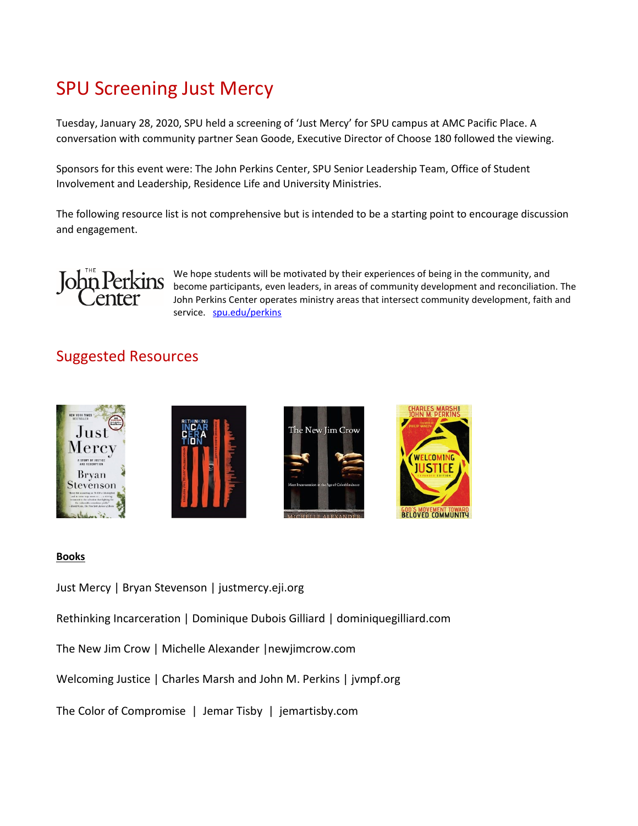# SPU Screening Just Mercy

Tuesday, January 28, 2020, SPU held a screening of 'Just Mercy' for SPU campus at AMC Pacific Place. A conversation with community partner Sean Goode, Executive Director of Choose 180 followed the viewing.

Sponsors for this event were: The John Perkins Center, SPU Senior Leadership Team, Office of Student Involvement and Leadership, Residence Life and University Ministries.

The following resource list is not comprehensive but is intended to be a starting point to encourage discussion and engagement.



We hope students will be motivated by their experiences of being in the community, and become participants, even leaders, in areas of community development and reconciliation. The John Perkins Center operates ministry areas that intersect community development, faith and service. [spu.edu/perkins](https://spu.edu/administration/john-perkins-center/)

# Suggested Resources









### **Books**

Just Mercy | Bryan Stevenson | justmercy.eji.org

Rethinking Incarceration | Dominique Dubois Gilliard | dominiquegilliard.com

The New Jim Crow | Michelle Alexander |newjimcrow.com

Welcoming Justice | Charles Marsh and John M. Perkins | jvmpf.org

The Color of Compromise | Jemar Tisby | jemartisby.com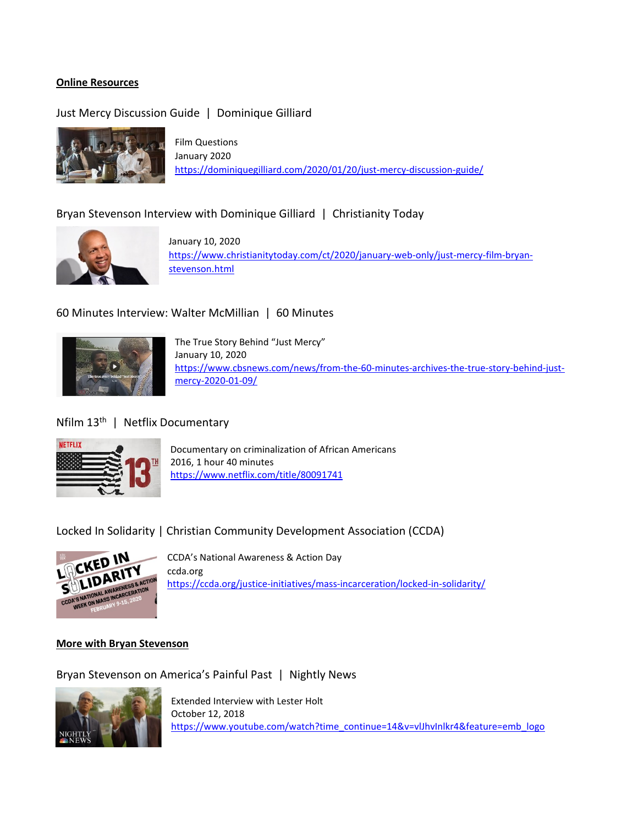#### **Online Resources**

## Just Mercy Discussion Guide | Dominique Gilliard



Film Questions January 2020 <https://dominiquegilliard.com/2020/01/20/just-mercy-discussion-guide/>

### Bryan Stevenson Interview with Dominique Gilliard | Christianity Today



January 10, 2020 [https://www.christianitytoday.com/ct/2020/january-web-only/just-mercy-film-bryan](https://www.christianitytoday.com/ct/2020/january-web-only/just-mercy-film-bryan-stevenson.html)[stevenson.html](https://www.christianitytoday.com/ct/2020/january-web-only/just-mercy-film-bryan-stevenson.html)

#### 60 Minutes Interview: Walter McMillian | 60 Minutes



The True Story Behind "Just Mercy" January 10, 2020 [https://www.cbsnews.com/news/from-the-60-minutes-archives-the-true-story-behind-just](https://www.cbsnews.com/news/from-the-60-minutes-archives-the-true-story-behind-just-mercy-2020-01-09/)[mercy-2020-01-09/](https://www.cbsnews.com/news/from-the-60-minutes-archives-the-true-story-behind-just-mercy-2020-01-09/)

#### Nfilm 13<sup>th</sup> | Netflix Documentary



Documentary on criminalization of African Americans 2016, 1 hour 40 minutes <https://www.netflix.com/title/80091741>

Locked In Solidarity | Christian Community Development Association (CCDA)



CCDA's National Awareness & Action Day ccda.org <https://ccda.org/justice-initiatives/mass-incarceration/locked-in-solidarity/>

#### **More with Bryan Stevenson**

Bryan Stevenson on America's Painful Past | Nightly News



Extended Interview with Lester Holt October 12, 2018 [https://www.youtube.com/watch?time\\_continue=14&v=vlJhvInlkr4&feature=emb\\_logo](https://www.youtube.com/watch?time_continue=14&v=vlJhvInlkr4&feature=emb_logo)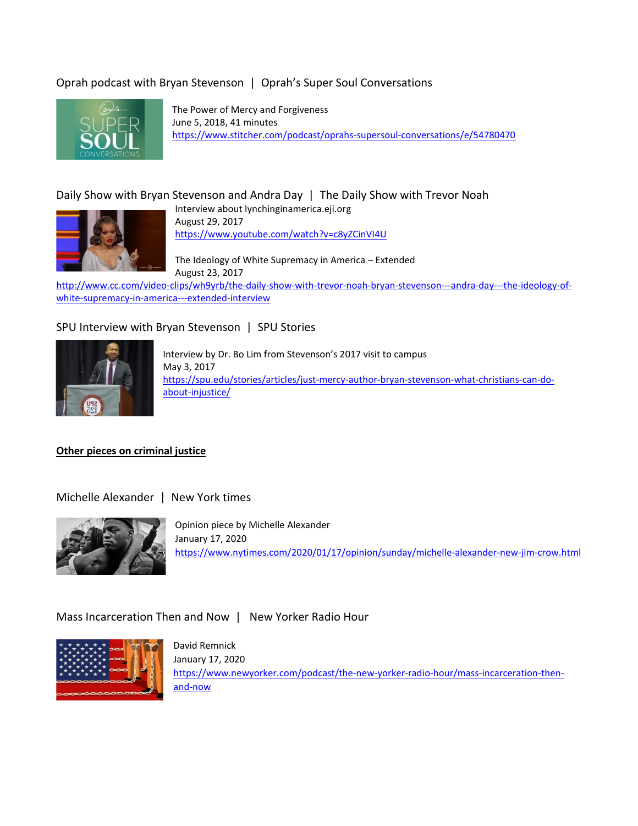# Oprah podcast with Bryan Stevenson | Oprah's Super Soul Conversations



The Power of Mercy and Forgiveness June 5, 2018, 41 minutes <https://www.stitcher.com/podcast/oprahs-supersoul-conversations/e/54780470>

# Daily Show with Bryan Stevenson and Andra Day | The Daily Show with Trevor Noah



Interview about lynchinginamerica.eji.org August 29, 2017 <https://www.youtube.com/watch?v=c8yZCinVI4U>

The Ideology of White Supremacy in America – Extended August 23, 2017

[http://www.cc.com/video-clips/wh9yrb/the-daily-show-with-trevor-noah-bryan-stevenson---andra-day---the-ideology-of](http://www.cc.com/video-clips/wh9yrb/the-daily-show-with-trevor-noah-bryan-stevenson---andra-day---the-ideology-of-white-supremacy-in-america---extended-interview)[white-supremacy-in-america---extended-interview](http://www.cc.com/video-clips/wh9yrb/the-daily-show-with-trevor-noah-bryan-stevenson---andra-day---the-ideology-of-white-supremacy-in-america---extended-interview)

### SPU Interview with Bryan Stevenson | SPU Stories



Interview by Dr. Bo Lim from Stevenson's 2017 visit to campus May 3, 2017 [https://spu.edu/stories/articles/just-mercy-author-bryan-stevenson-what-christians-can-do](https://spu.edu/stories/articles/just-mercy-author-bryan-stevenson-what-christians-can-do-about-injustice/)[about-injustice/](https://spu.edu/stories/articles/just-mercy-author-bryan-stevenson-what-christians-can-do-about-injustice/)

#### **Other pieces on criminal justice**

Michelle Alexander | New York times



Opinion piece by Michelle Alexander January 17, 2020 <https://www.nytimes.com/2020/01/17/opinion/sunday/michelle-alexander-new-jim-crow.html>

### Mass Incarceration Then and Now | New Yorker Radio Hour



David Remnick January 17, 2020 [https://www.newyorker.com/podcast/the-new-yorker-radio-hour/mass-incarceration-then](https://www.newyorker.com/podcast/the-new-yorker-radio-hour/mass-incarceration-then-and-now)[and-now](https://www.newyorker.com/podcast/the-new-yorker-radio-hour/mass-incarceration-then-and-now)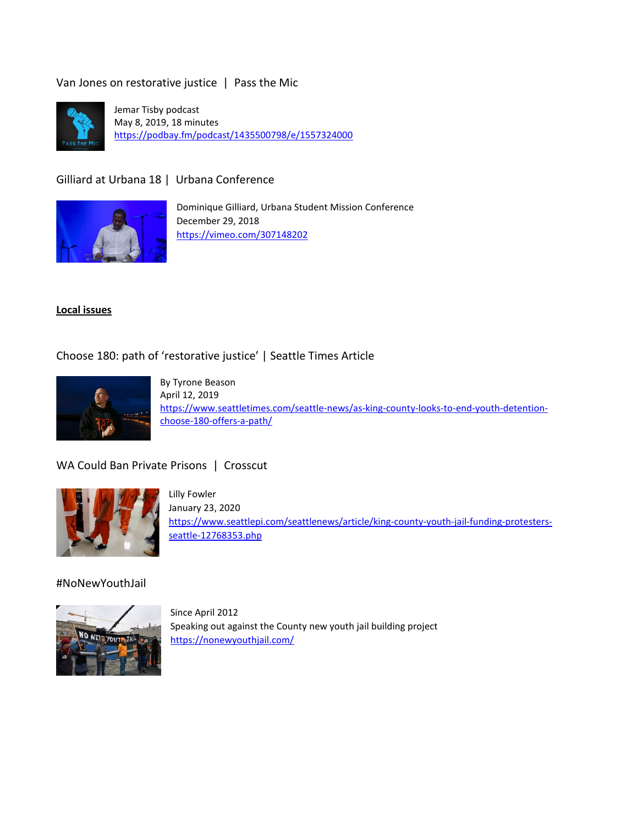Van Jones on restorative justice | Pass the Mic



Jemar Tisby podcast May 8, 2019, 18 minutes <https://podbay.fm/podcast/1435500798/e/1557324000>

Gilliard at Urbana 18 | Urbana Conference



Dominique Gilliard, Urbana Student Mission Conference December 29, 2018 <https://vimeo.com/307148202>

#### **Local issues**

Choose 180: path of 'restorative justice' | Seattle Times Article



By Tyrone Beason April 12, 2019 [https://www.seattletimes.com/seattle-news/as-king-county-looks-to-end-youth-detention](https://www.seattletimes.com/seattle-news/as-king-county-looks-to-end-youth-detention-choose-180-offers-a-path/)[choose-180-offers-a-path/](https://www.seattletimes.com/seattle-news/as-king-county-looks-to-end-youth-detention-choose-180-offers-a-path/)

WA Could Ban Private Prisons | Crosscut



Lilly Fowler January 23, 2020 [https://www.seattlepi.com/seattlenews/article/king-county-youth-jail-funding-protesters](https://www.seattlepi.com/seattlenews/article/king-county-youth-jail-funding-protesters-seattle-12768353.php)[seattle-12768353.php](https://www.seattlepi.com/seattlenews/article/king-county-youth-jail-funding-protesters-seattle-12768353.php)

#### #NoNewYouthJail



Since April 2012 Speaking out against the County new youth jail building project <https://nonewyouthjail.com/>